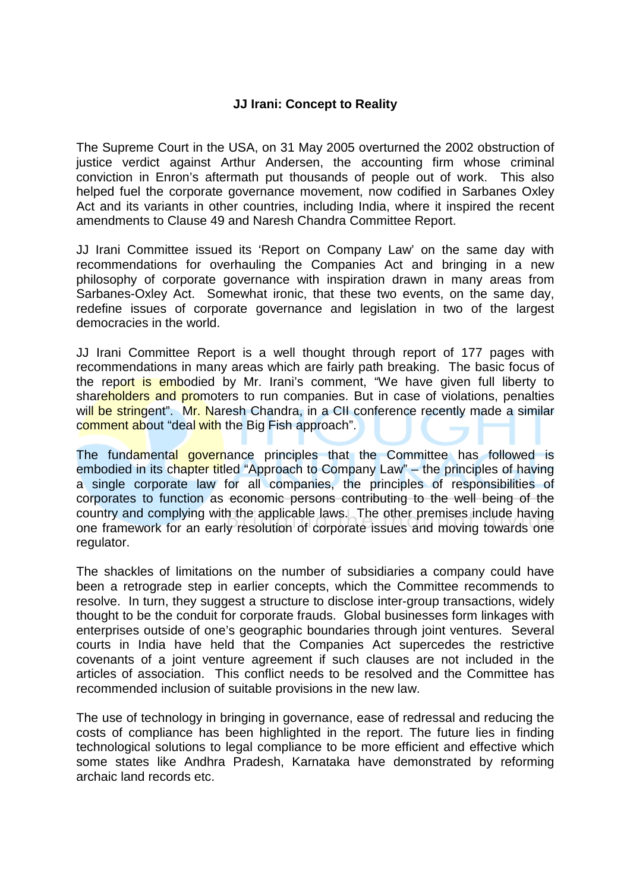## **JJ Irani: Concept to Reality**

The Supreme Court in the USA, on 31 May 2005 overturned the 2002 obstruction of justice verdict against Arthur Andersen, the accounting firm whose criminal conviction in Enron's aftermath put thousands of people out of work. This also helped fuel the corporate governance movement, now codified in Sarbanes Oxley Act and its variants in other countries, including India, where it inspired the recent amendments to Clause 49 and Naresh Chandra Committee Report.

JJ Irani Committee issued its 'Report on Company Law' on the same day with recommendations for overhauling the Companies Act and bringing in a new philosophy of corporate governance with inspiration drawn in many areas from Sarbanes-Oxley Act. Somewhat ironic, that these two events, on the same day, redefine issues of corporate governance and legislation in two of the largest democracies in the world.

JJ Irani Committee Report is a well thought through report of 177 pages with recommendations in many areas which are fairly path breaking. The basic focus of the report is embodied by Mr. Irani's comment, "We have given full liberty to shareholders and promoters to run companies. But in case of violations, penalties will be stringent". Mr. Naresh Chandra, in a CII conference recently made a similar comment about "deal with the Big Fish approach".

The fundamental governance principles that the Committee has followed is embodied in its chapter titled "Approach to Company Law" – the principles of having a single corporate law for all companies, the principles of responsibilities of corporates to function as economic persons contributing to the well being of the country and complying with the applicable laws. The other premises include having one framework for an early resolution of corporate issues and moving towards one regulator.

The shackles of limitations on the number of subsidiaries a company could have been a retrograde step in earlier concepts, which the Committee recommends to resolve. In turn, they suggest a structure to disclose inter-group transactions, widely thought to be the conduit for corporate frauds. Global businesses form linkages with enterprises outside of one's geographic boundaries through joint ventures. Several courts in India have held that the Companies Act supercedes the restrictive covenants of a joint venture agreement if such clauses are not included in the articles of association. This conflict needs to be resolved and the Committee has recommended inclusion of suitable provisions in the new law.

The use of technology in bringing in governance, ease of redressal and reducing the costs of compliance has been highlighted in the report. The future lies in finding technological solutions to legal compliance to be more efficient and effective which some states like Andhra Pradesh, Karnataka have demonstrated by reforming archaic land records etc.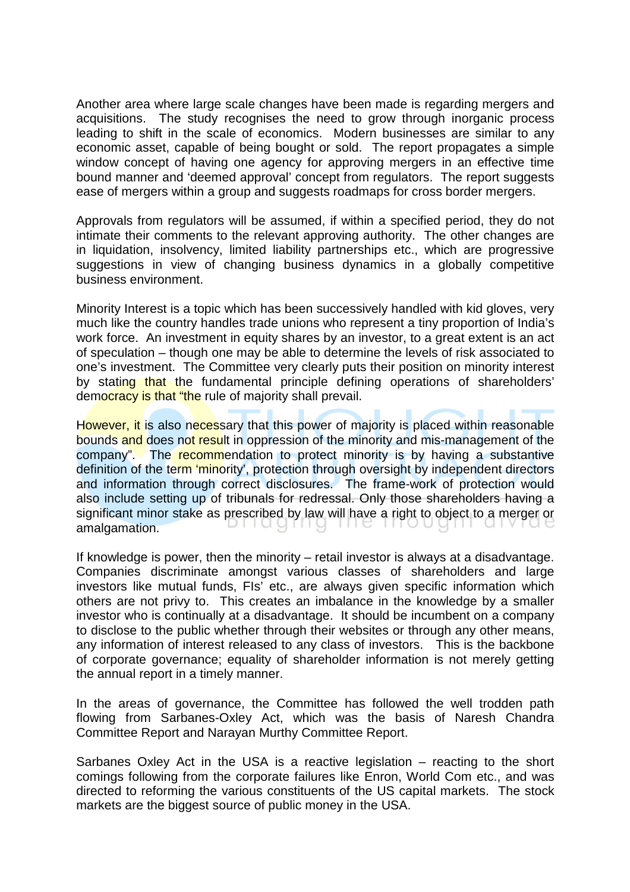Another area where large scale changes have been made is regarding mergers and acquisitions. The study recognises the need to grow through inorganic process leading to shift in the scale of economics. Modern businesses are similar to any economic asset, capable of being bought or sold. The report propagates a simple window concept of having one agency for approving mergers in an effective time bound manner and 'deemed approval' concept from regulators. The report suggests ease of mergers within a group and suggests roadmaps for cross border mergers.

Approvals from regulators will be assumed, if within a specified period, they do not intimate their comments to the relevant approving authority. The other changes are in liquidation, insolvency, limited liability partnerships etc., which are progressive suggestions in view of changing business dynamics in a globally competitive business environment.

Minority Interest is a topic which has been successively handled with kid gloves, very much like the country handles trade unions who represent a tiny proportion of India's work force. An investment in equity shares by an investor, to a great extent is an act of speculation – though one may be able to determine the levels of risk associated to one's investment. The Committee very clearly puts their position on minority interest by stating that the fundamental principle defining operations of shareholders' democracy is that "the rule of majority shall prevail.

However, it is also necessary that this power of majority is placed within reasonable bounds and does not result in oppression of the minority and mis-management of the company". The recommendation to protect minority is by having a substantive definition of the term 'minority', protection through oversight by independent directors and information through correct disclosures. The frame-work of protection would also include setting up of tribunals for redressal. Only those shareholders having a significant minor stake as prescribed by law will have a right to object to a merger or amalgamation. priagnig me inought arv

If knowledge is power, then the minority – retail investor is always at a disadvantage. Companies discriminate amongst various classes of shareholders and large investors like mutual funds, FIs' etc., are always given specific information which others are not privy to. This creates an imbalance in the knowledge by a smaller investor who is continually at a disadvantage. It should be incumbent on a company to disclose to the public whether through their websites or through any other means, any information of interest released to any class of investors. This is the backbone of corporate governance; equality of shareholder information is not merely getting the annual report in a timely manner.

In the areas of governance, the Committee has followed the well trodden path flowing from Sarbanes-Oxley Act, which was the basis of Naresh Chandra Committee Report and Narayan Murthy Committee Report.

Sarbanes Oxley Act in the USA is a reactive legislation – reacting to the short comings following from the corporate failures like Enron, World Com etc., and was directed to reforming the various constituents of the US capital markets. The stock markets are the biggest source of public money in the USA.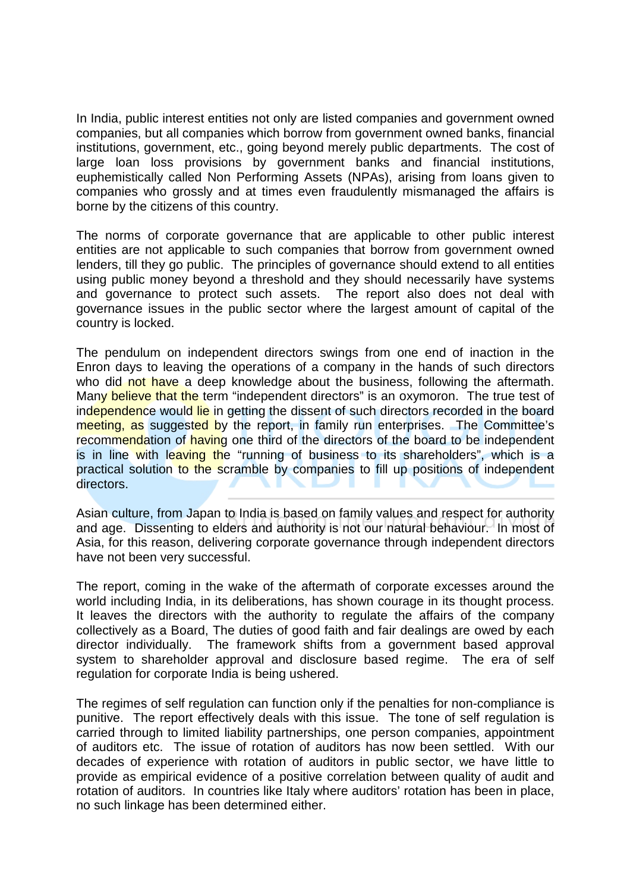In India, public interest entities not only are listed companies and government owned companies, but all companies which borrow from government owned banks, financial institutions, government, etc., going beyond merely public departments. The cost of large loan loss provisions by government banks and financial institutions, euphemistically called Non Performing Assets (NPAs), arising from loans given to companies who grossly and at times even fraudulently mismanaged the affairs is borne by the citizens of this country.

The norms of corporate governance that are applicable to other public interest entities are not applicable to such companies that borrow from government owned lenders, till they go public. The principles of governance should extend to all entities using public money beyond a threshold and they should necessarily have systems and governance to protect such assets. The report also does not deal with governance issues in the public sector where the largest amount of capital of the country is locked.

The pendulum on independent directors swings from one end of inaction in the Enron days to leaving the operations of a company in the hands of such directors who did not have a deep knowledge about the business, following the aftermath. Many believe that the term "independent directors" is an oxymoron. The true test of independence would lie in getting the dissent of such directors recorded in the board meeting, as suggested by the report, in family run enterprises. The Committee's recommendation of having one third of the directors of the board to be independent is in line with leaving the "running of business to its shareholders", which is a practical solution to the scramble by companies to fill up positions of independent directors.

Asian culture, from Japan to India is based on family values and respect for authority and age. Dissenting to elders and authority is not our natural behaviour. In most of Asia, for this reason, delivering corporate governance through independent directors have not been very successful.

The report, coming in the wake of the aftermath of corporate excesses around the world including India, in its deliberations, has shown courage in its thought process. It leaves the directors with the authority to regulate the affairs of the company collectively as a Board, The duties of good faith and fair dealings are owed by each director individually. The framework shifts from a government based approval system to shareholder approval and disclosure based regime. The era of self regulation for corporate India is being ushered.

The regimes of self regulation can function only if the penalties for non-compliance is punitive. The report effectively deals with this issue. The tone of self regulation is carried through to limited liability partnerships, one person companies, appointment of auditors etc. The issue of rotation of auditors has now been settled. With our decades of experience with rotation of auditors in public sector, we have little to provide as empirical evidence of a positive correlation between quality of audit and rotation of auditors. In countries like Italy where auditors' rotation has been in place, no such linkage has been determined either.